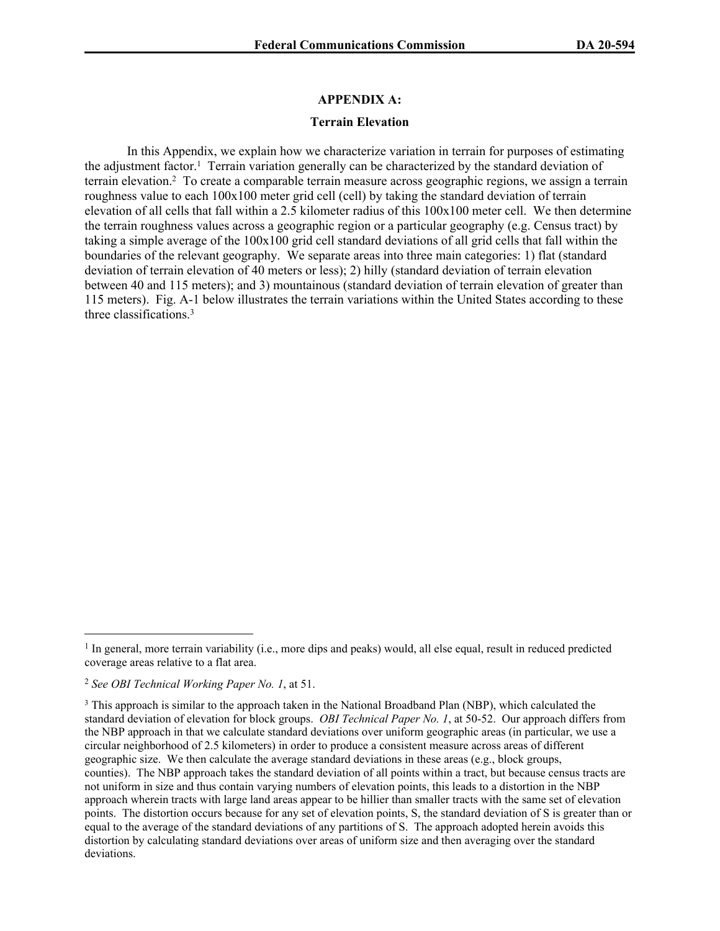## **APPENDIX A:**

## **Terrain Elevation**

In this Appendix, we explain how we characterize variation in terrain for purposes of estimating the adjustment factor.<sup>1</sup> Terrain variation generally can be characterized by the standard deviation of terrain elevation.<sup>2</sup> To create a comparable terrain measure across geographic regions, we assign a terrain roughness value to each 100x100 meter grid cell (cell) by taking the standard deviation of terrain elevation of all cells that fall within a 2.5 kilometer radius of this 100x100 meter cell. We then determine the terrain roughness values across a geographic region or a particular geography (e.g. Census tract) by taking a simple average of the 100x100 grid cell standard deviations of all grid cells that fall within the boundaries of the relevant geography. We separate areas into three main categories: 1) flat (standard deviation of terrain elevation of 40 meters or less); 2) hilly (standard deviation of terrain elevation between 40 and 115 meters); and 3) mountainous (standard deviation of terrain elevation of greater than 115 meters). Fig. A-1 below illustrates the terrain variations within the United States according to these three classifications<sup>3</sup>

<sup>&</sup>lt;sup>1</sup> In general, more terrain variability (i.e., more dips and peaks) would, all else equal, result in reduced predicted coverage areas relative to a flat area.

<sup>2</sup> *See OBI Technical Working Paper No. 1*, at 51.

<sup>&</sup>lt;sup>3</sup> This approach is similar to the approach taken in the National Broadband Plan (NBP), which calculated the standard deviation of elevation for block groups. *OBI Technical Paper No. 1*, at 50-52. Our approach differs from the NBP approach in that we calculate standard deviations over uniform geographic areas (in particular, we use a circular neighborhood of 2.5 kilometers) in order to produce a consistent measure across areas of different geographic size. We then calculate the average standard deviations in these areas (e.g., block groups, counties). The NBP approach takes the standard deviation of all points within a tract, but because census tracts are not uniform in size and thus contain varying numbers of elevation points, this leads to a distortion in the NBP approach wherein tracts with large land areas appear to be hillier than smaller tracts with the same set of elevation points. The distortion occurs because for any set of elevation points, S, the standard deviation of S is greater than or equal to the average of the standard deviations of any partitions of S. The approach adopted herein avoids this distortion by calculating standard deviations over areas of uniform size and then averaging over the standard deviations.